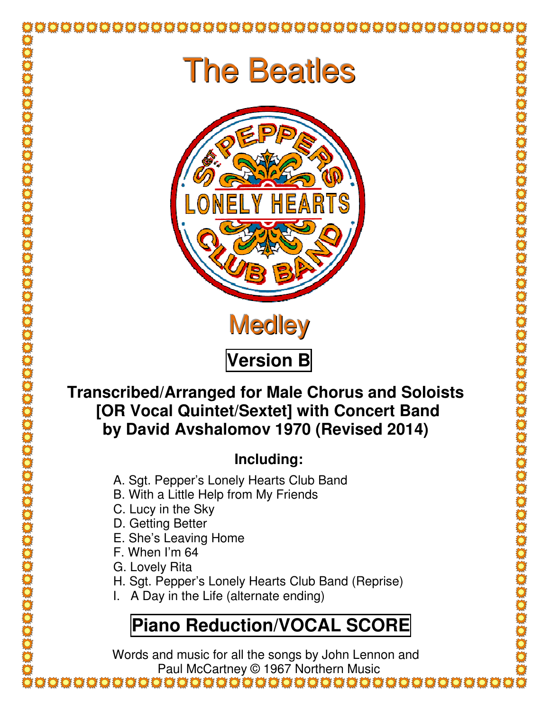

# **Including:**

- A. Sgt. Pepper's Lonely Hearts Club Band
- B. With a Little Help from My Friends
- C. Lucy in the Sky
- D. Getting Better
- E. She's Leaving Home
- F. When I'm 64
- G. Lovely Rita
- H. Sgt. Pepper's Lonely Hearts Club Band (Reprise)
- I. A Day in the Life (alternate ending)

# **Piano Reduction/VOCAL SCORE**

Words and music for all the songs by John Lennon and Paul McCartney © 1967 Northern Music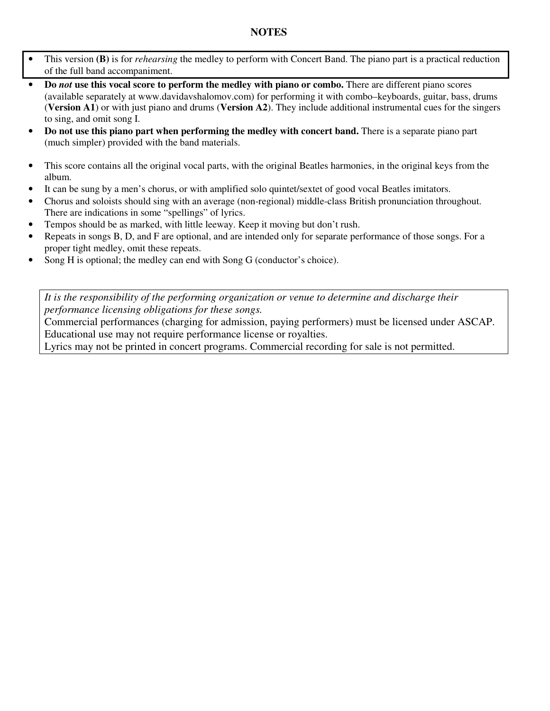#### **NOTES**

- This version **(B)** is for *rehearsing* the medley to perform with Concert Band. The piano part is a practical reduction of the full band accompaniment.
- **Do** *not* **use this vocal score to perform the medley with piano or combo.** There are different piano scores (available separately at www.davidavshalomov.com) for performing it with combo–keyboards, guitar, bass, drums (**Version A1**) or with just piano and drums (**Version A2**). They include additional instrumental cues for the singers to sing, and omit song I.
- **Do not use this piano part when performing the medley with concert band.** There is a separate piano part (much simpler) provided with the band materials.
- This score contains all the original vocal parts, with the original Beatles harmonies, in the original keys from the album.
- It can be sung by a men's chorus, or with amplified solo quintet/sextet of good vocal Beatles imitators.
- Chorus and soloists should sing with an average (non-regional) middle-class British pronunciation throughout. There are indications in some "spellings" of lyrics.
- Tempos should be as marked, with little leeway. Keep it moving but don't rush.
- Repeats in songs B, D, and F are optional, and are intended only for separate performance of those songs. For a proper tight medley, omit these repeats.
- Song H is optional; the medley can end with Song G (conductor's choice).

*It is the responsibility of the performing organization or venue to determine and discharge their performance licensing obligations for these songs.*

Commercial performances (charging for admission, paying performers) must be licensed under ASCAP. Educational use may not require performance license or royalties.

Lyrics may not be printed in concert programs. Commercial recording for sale is not permitted.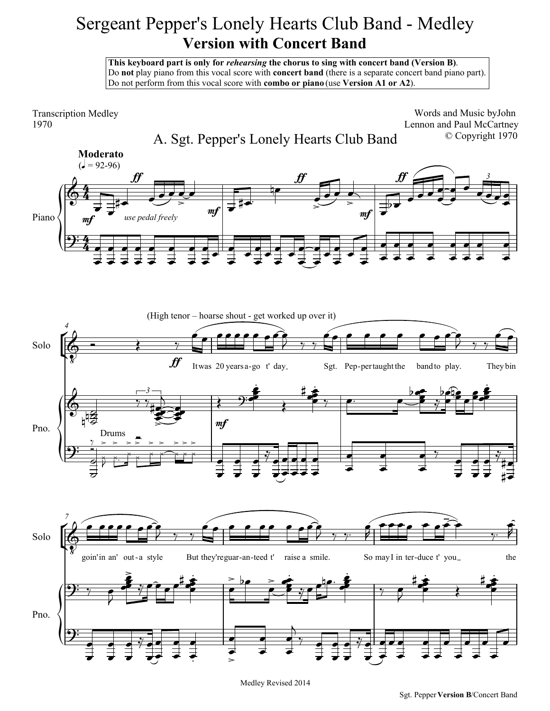## Sergeant Pepper's Lonely Hearts Club Band - Medley **Version with Concert Band**

**This keyboard part is only for** *rehearsing* **the chorus to sing with concert band (Version B)**. Do **not** play piano from this vocal score with **concert band** (there is a separate concert band piano part). Do not perform from this vocal score with **combo or piano** (use **Version A1 or A2**).

Transcription Medley 1970

Words and Music byJohn Lennon and Paul McCartney © Copyright 1970



Medley Revised 2014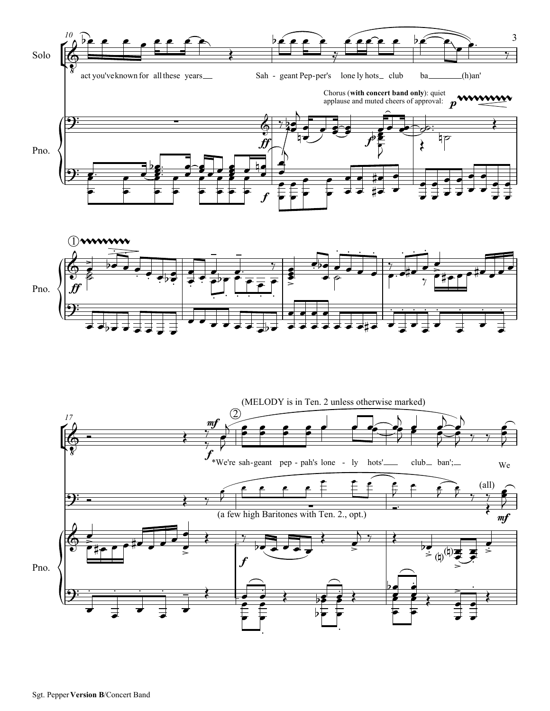



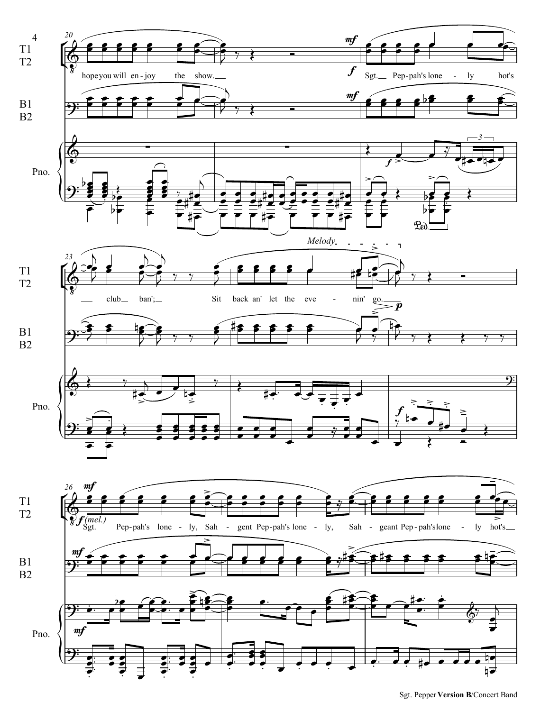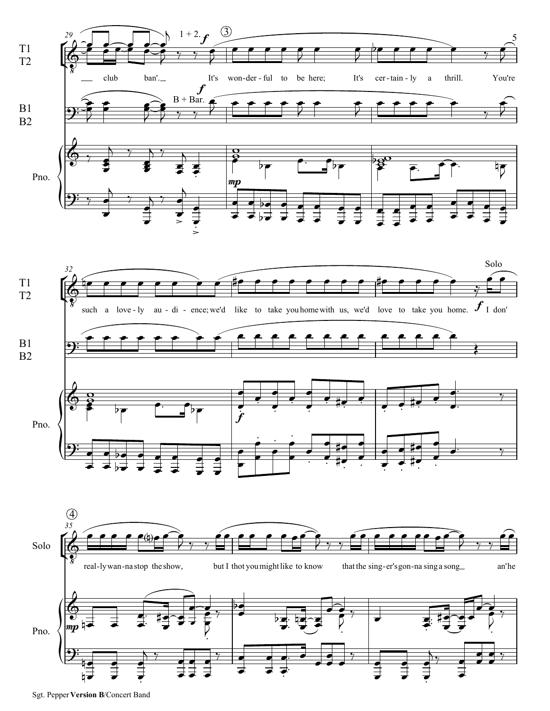



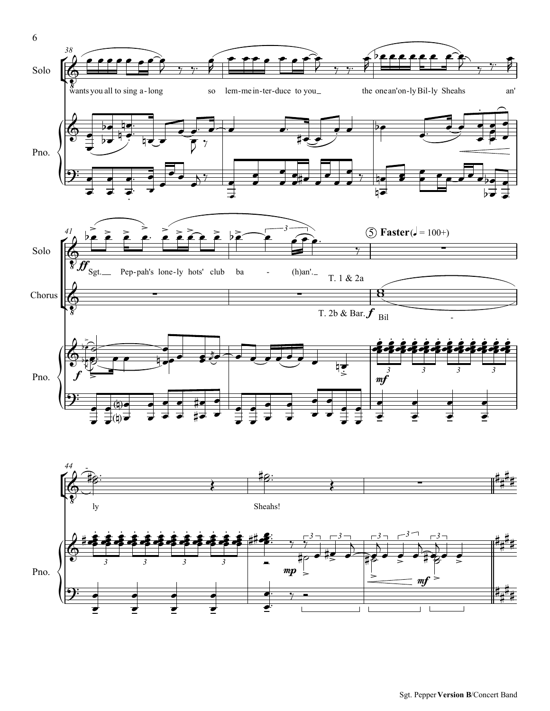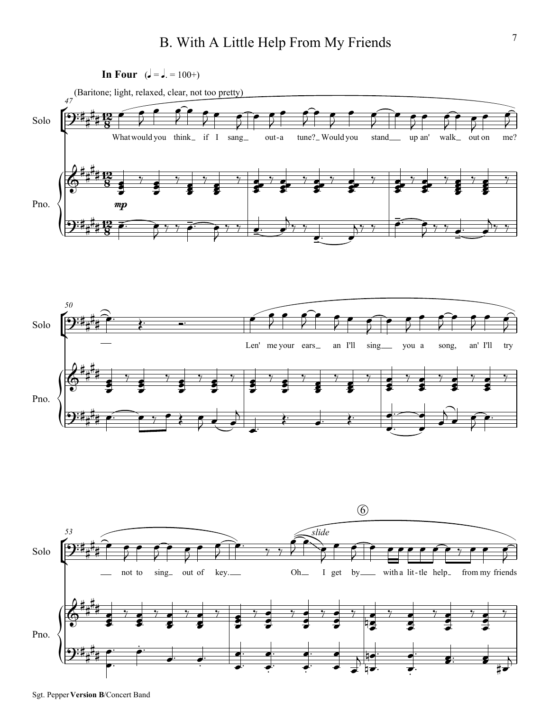### B. With A Little Help From My Friends







#### 7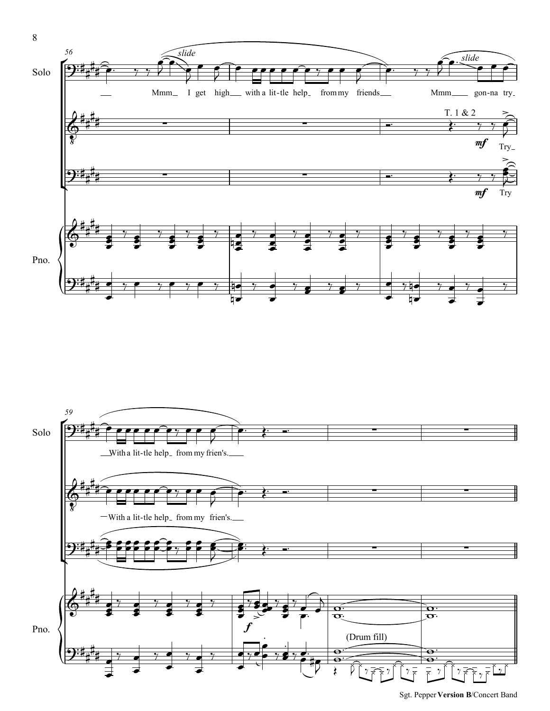

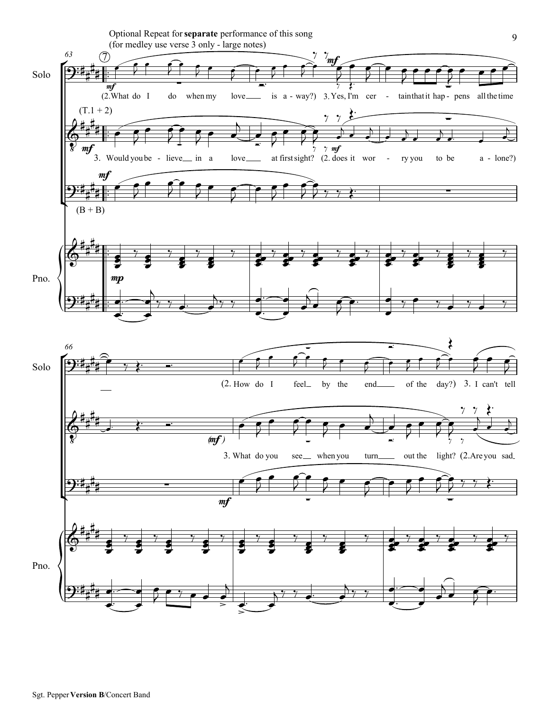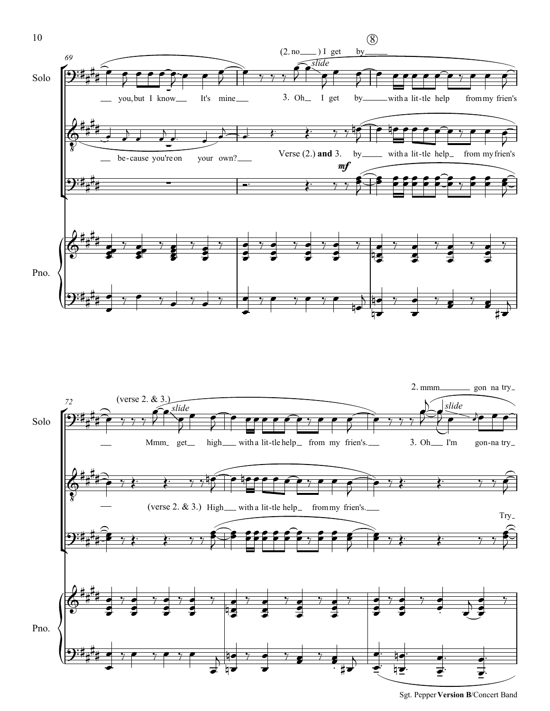

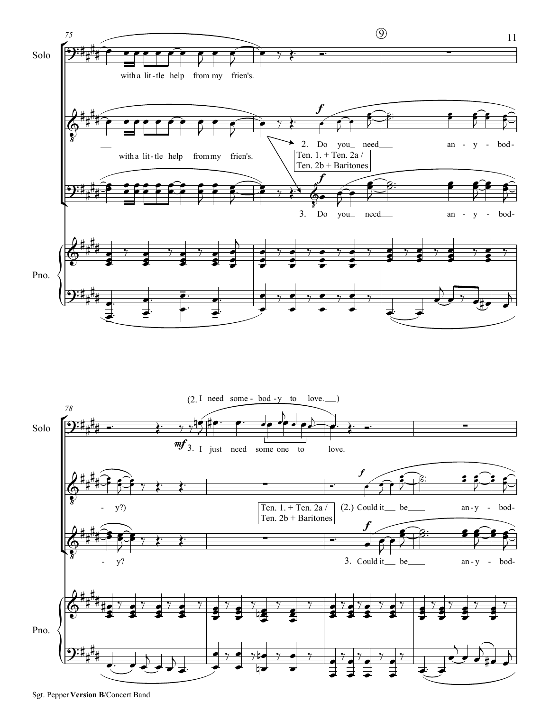

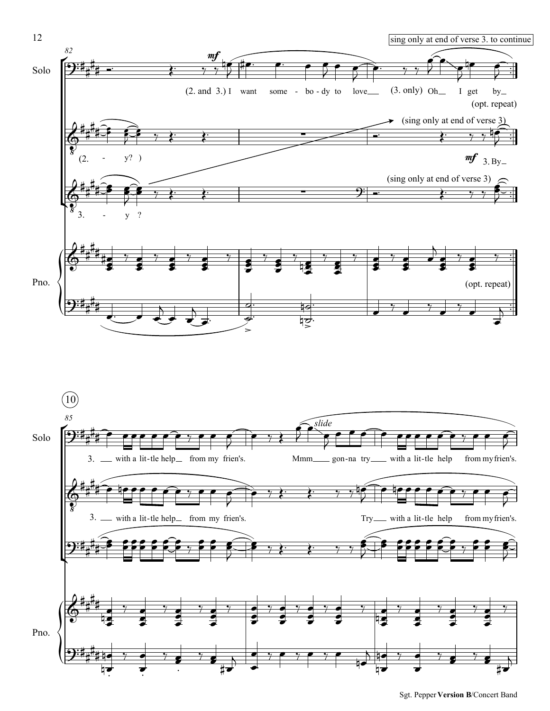

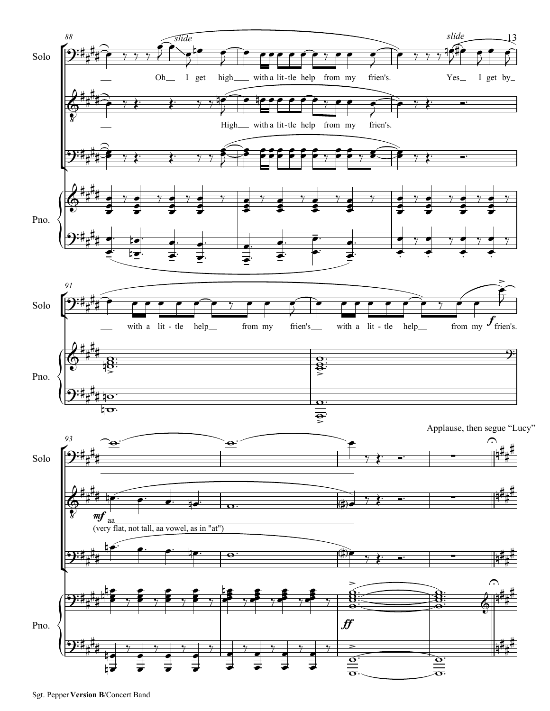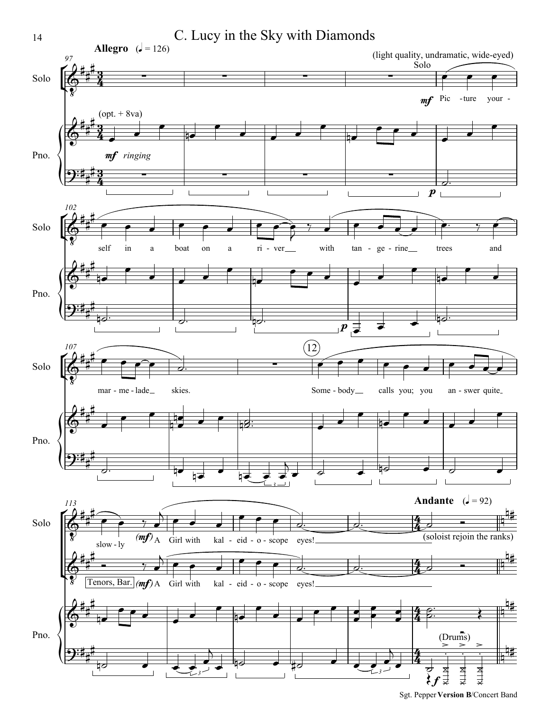

Sgt. Pepper **Version B**/Concert Band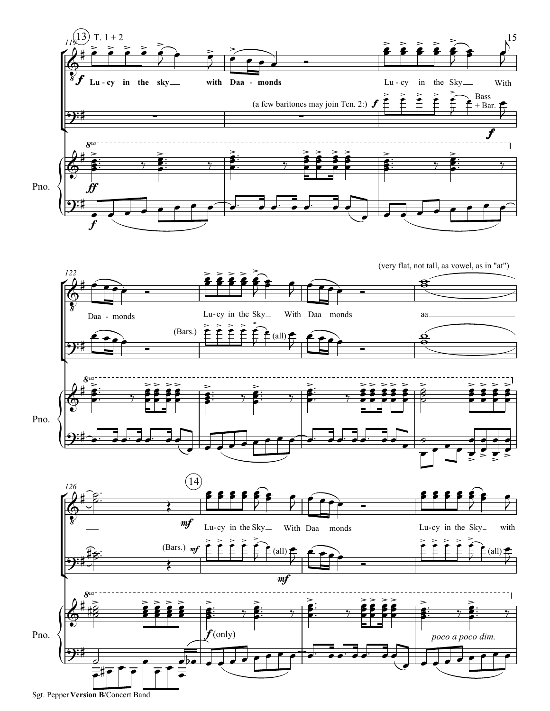



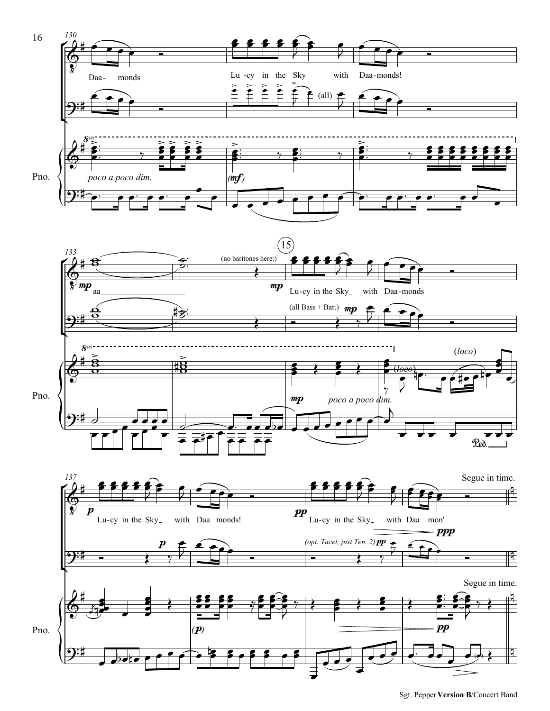

Sgt. Pepper **Version B**/Concert Band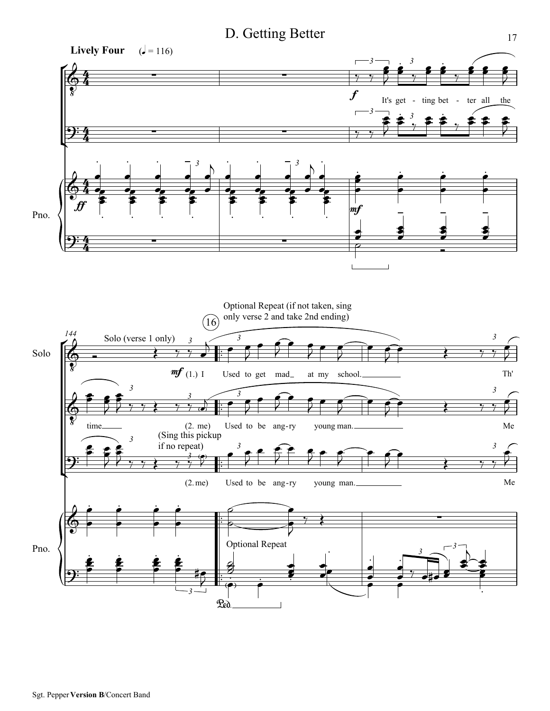### D. Getting Better



 $\frac{1}{1}$  $\frac{1}{1}$ 

 $\frac{1}{\sqrt{2}}$  $\frac{2}{1}$ 

 $\frac{2}{3}$ g  $\frac{1}{2}$ 

*3*

**ie** 

 $\mathfrak{L}$ ed

Optional Repeat

 $\frac{1}{\rho}$  $\frac{1}{1}$ 

 $\overline{\mathbf{z}}$ d<br>g  $\ddot{\cdot}$ 

 $\overline{\phantom{a}}$ <u>|</u>  $\overline{\bullet}$ 

 $\ddot{\phantom{0}}$ 

 $\overline{\bullet}$ .<br>•  $\frac{\bullet}{\bullet}$ 

 $\ddot{\phantom{0}}$ 

*3*

 $\frac{1}{7}$  or  $\frac{1}{7}$  3 )<br>8

 $\frac{1}{\rho}$ 

 $\ddot{\cdot}$  $\overline{\phantom{a}}$ .<br>م *3*

<u>s</u> **.**<br>2 |<br>N

 **.** z<br>S

 $\overline{\phantom{a}}$ 

Pno.

ė i<br>L

 $\frac{1}{2}$ i<br>L

 $\frac{1}{2}$ 

i<br>L  $\frac{1}{2}$  $\frac{5}{2}$  $\ddot{\cdot}$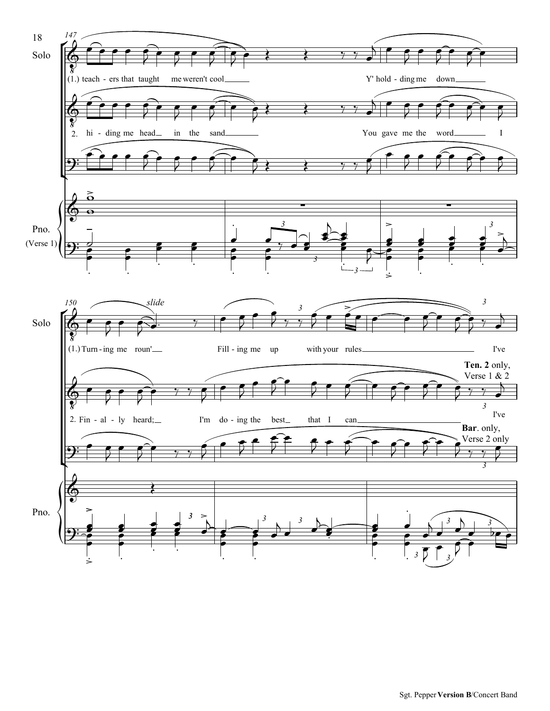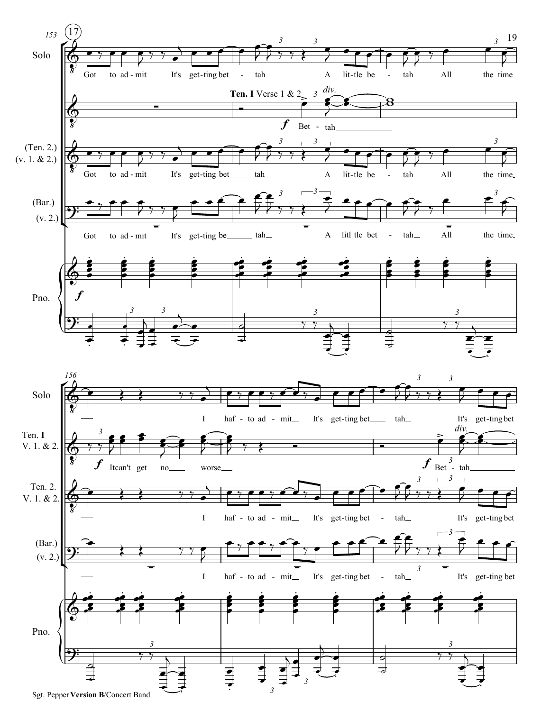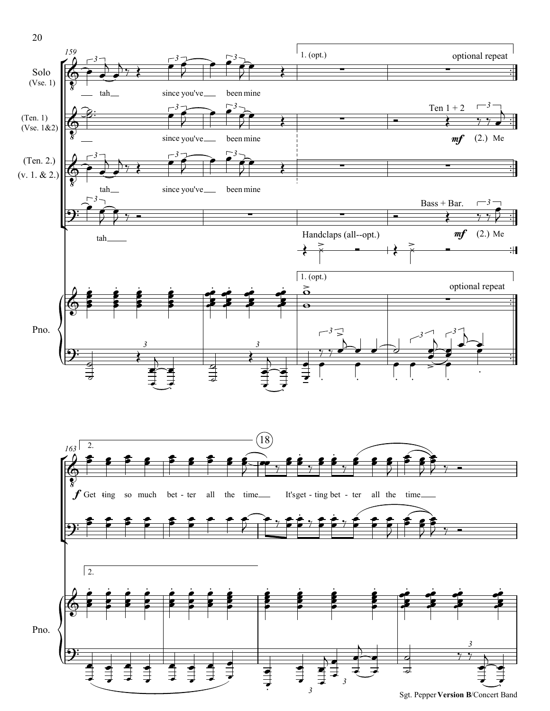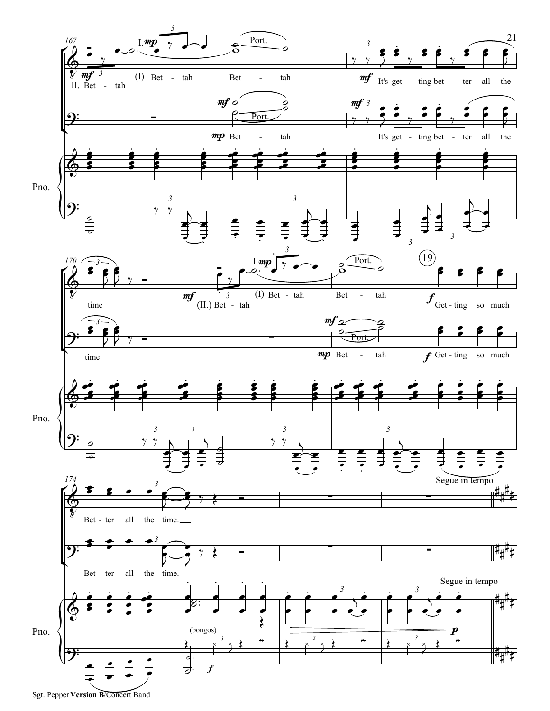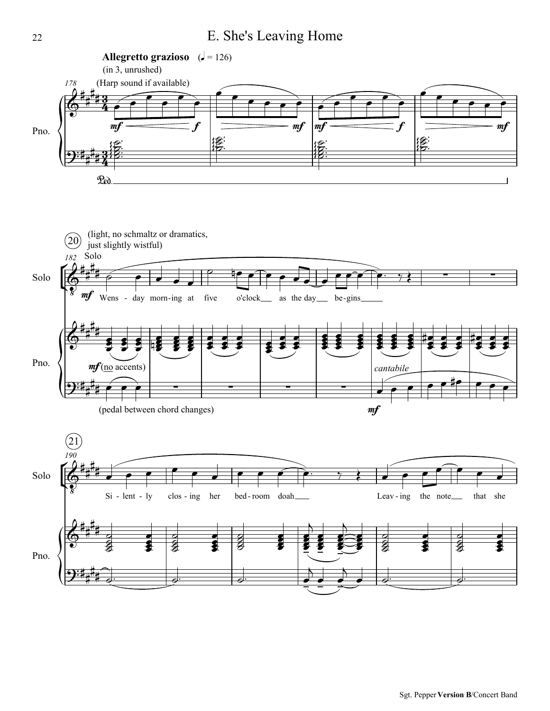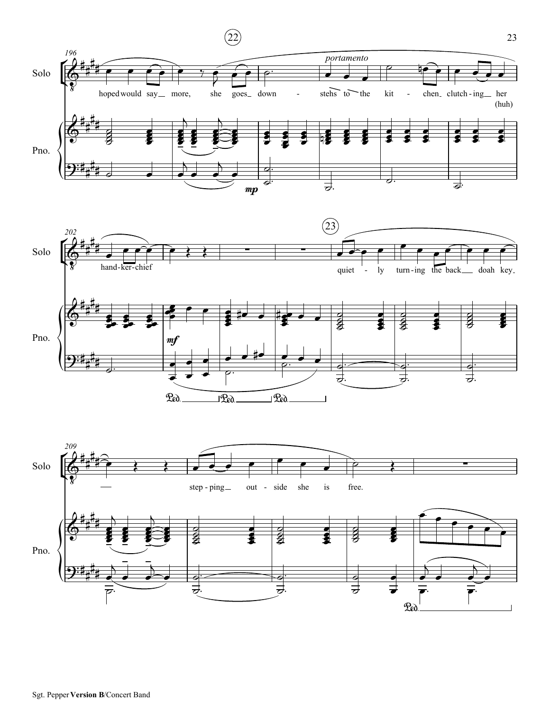



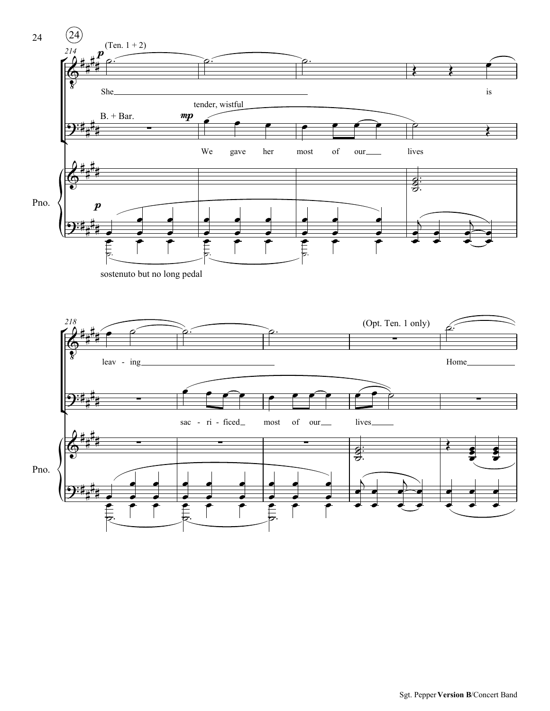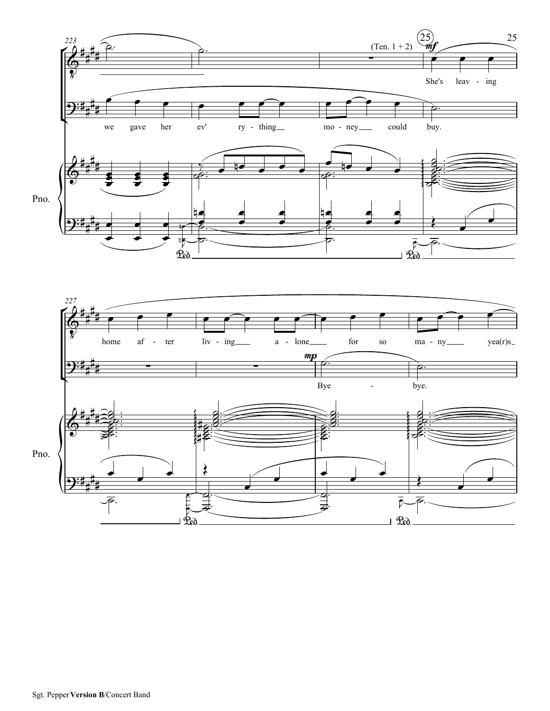

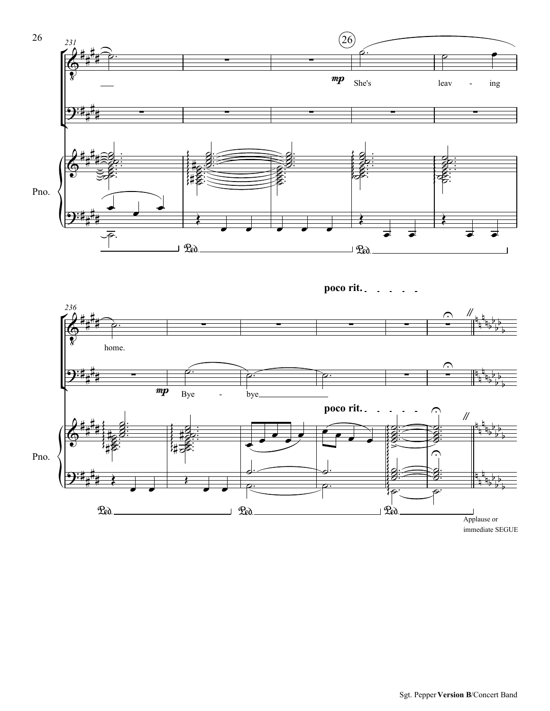

**poco rit.** 

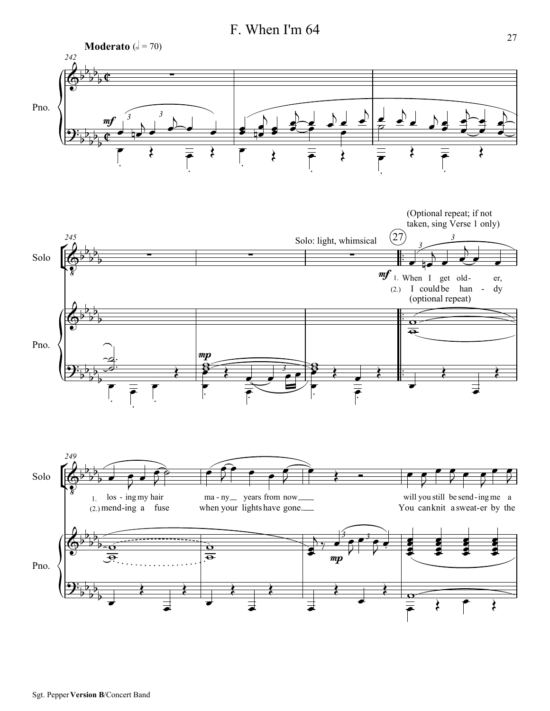

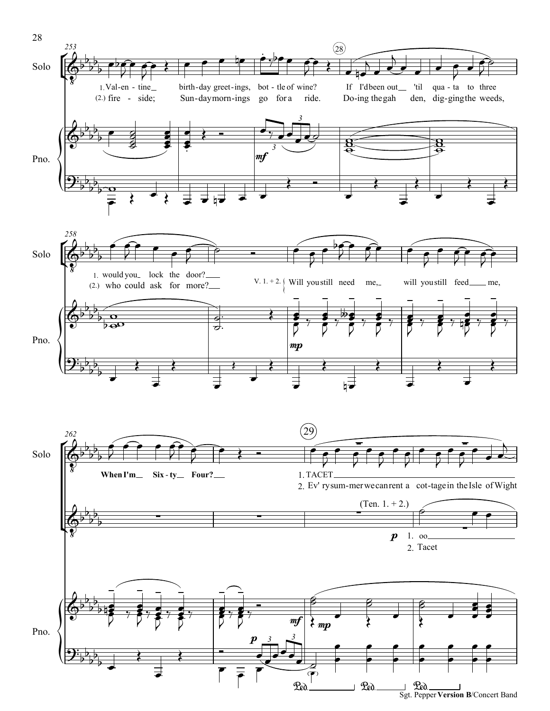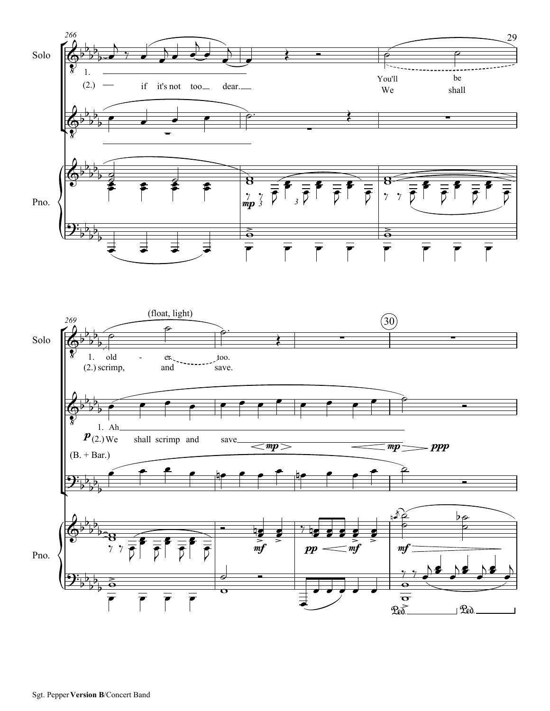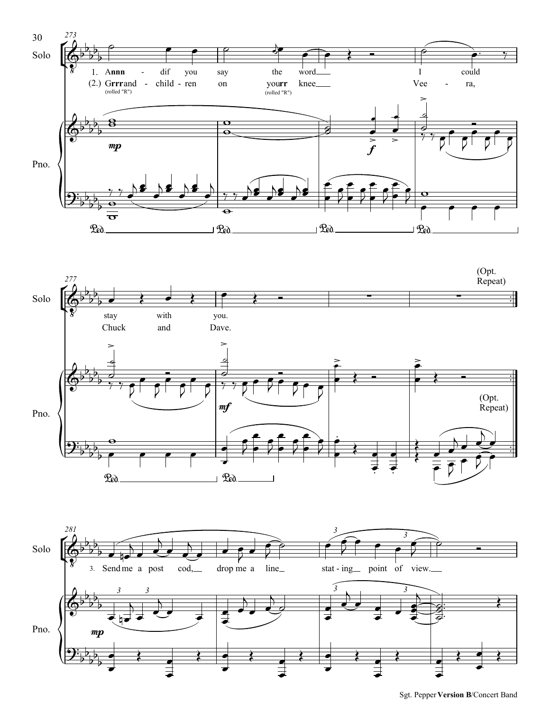



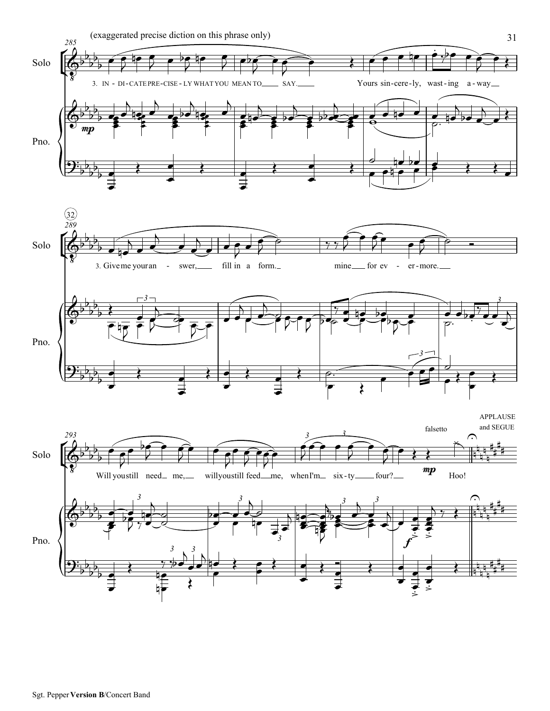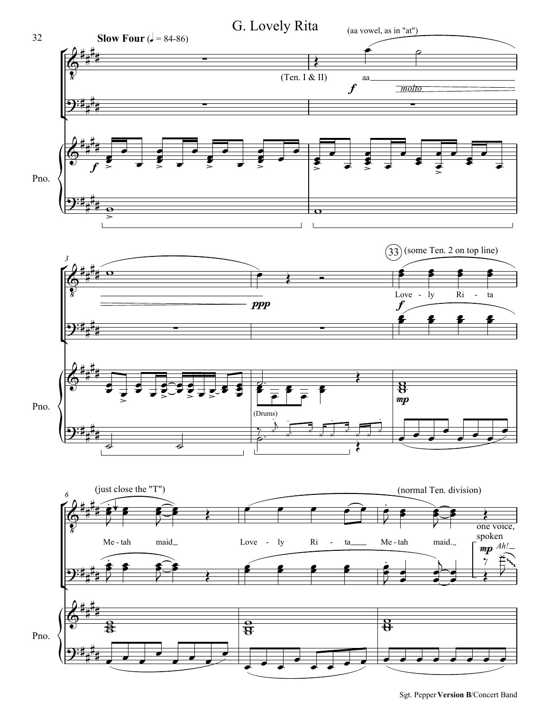

Sgt. Pepper **Version B**/Concert Band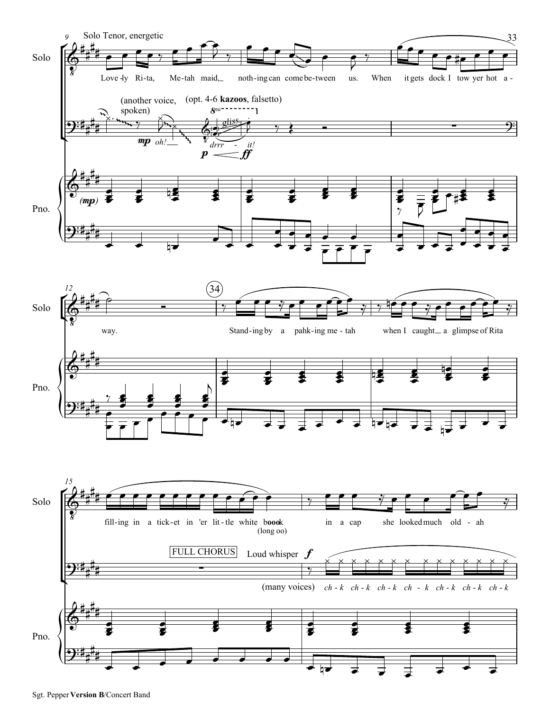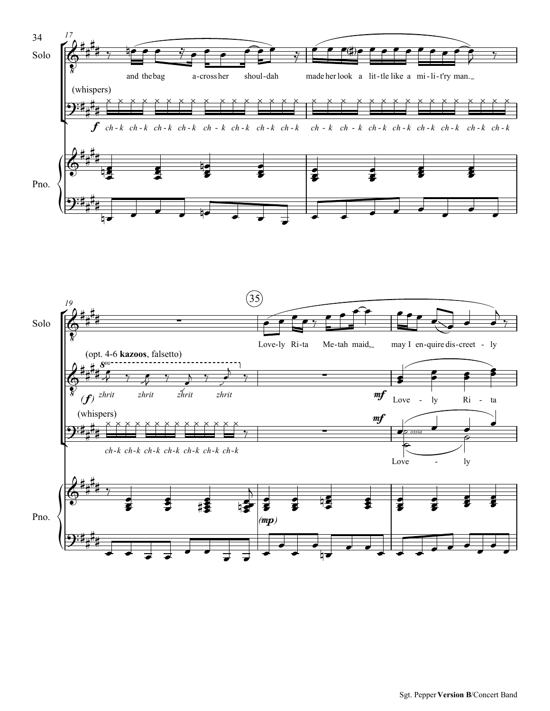

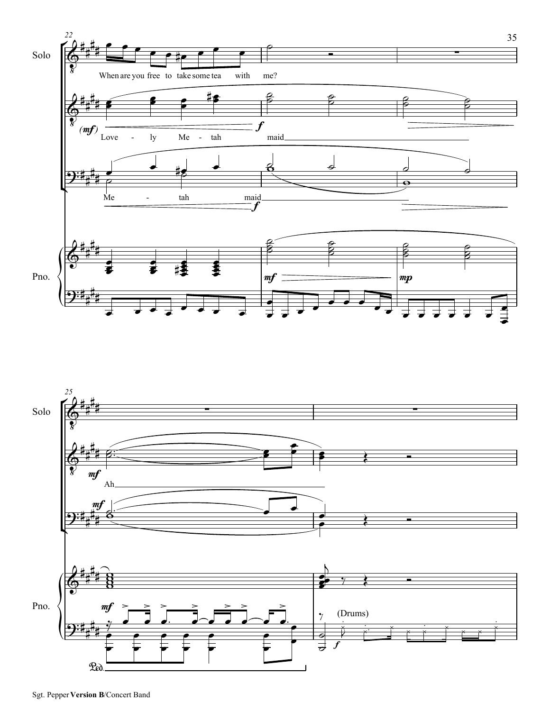

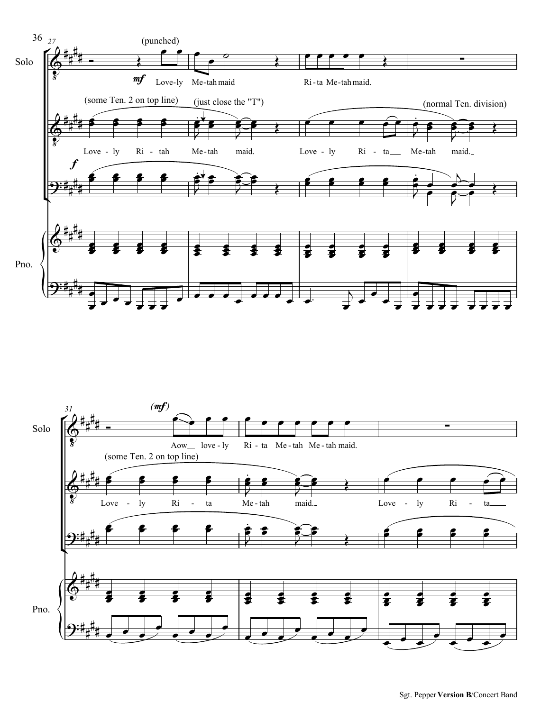

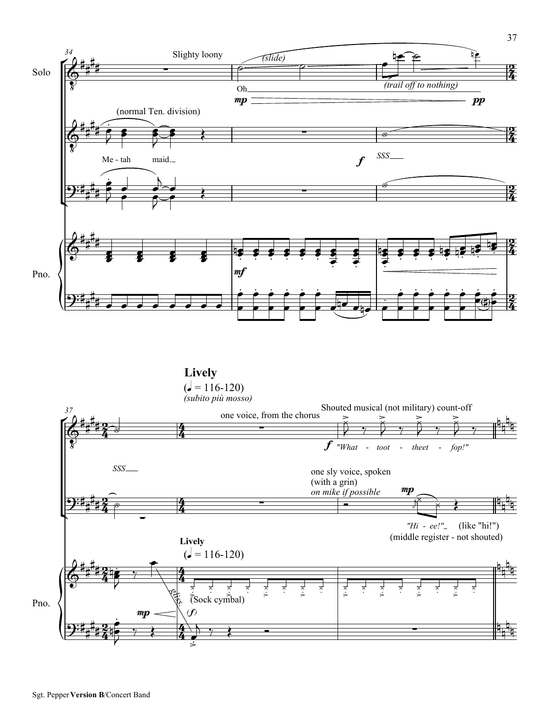

 $= 116 - 120$ **Lively**

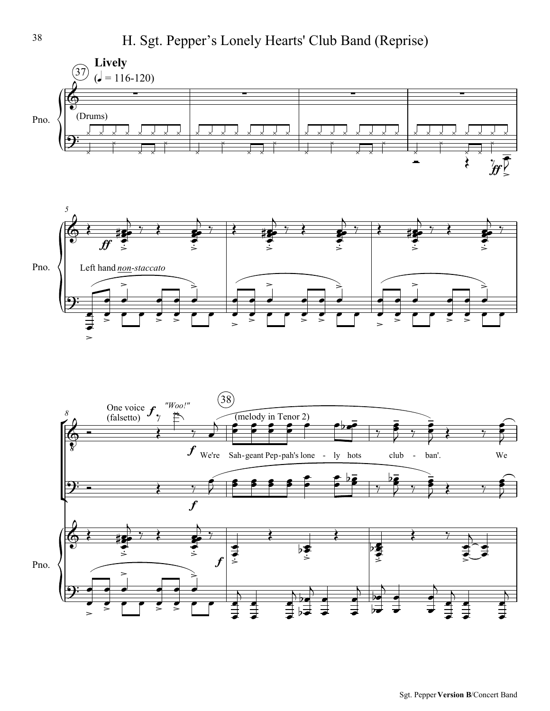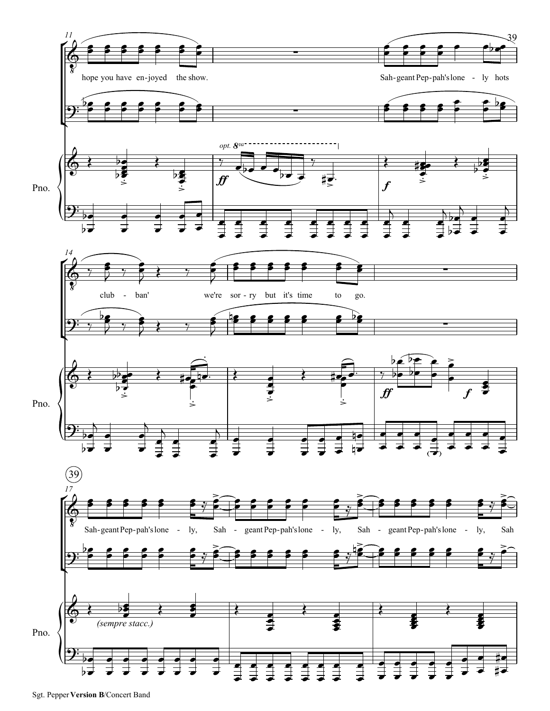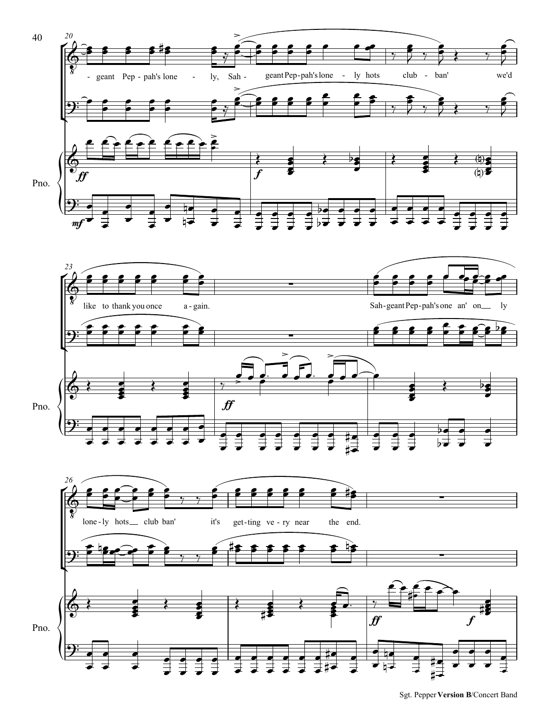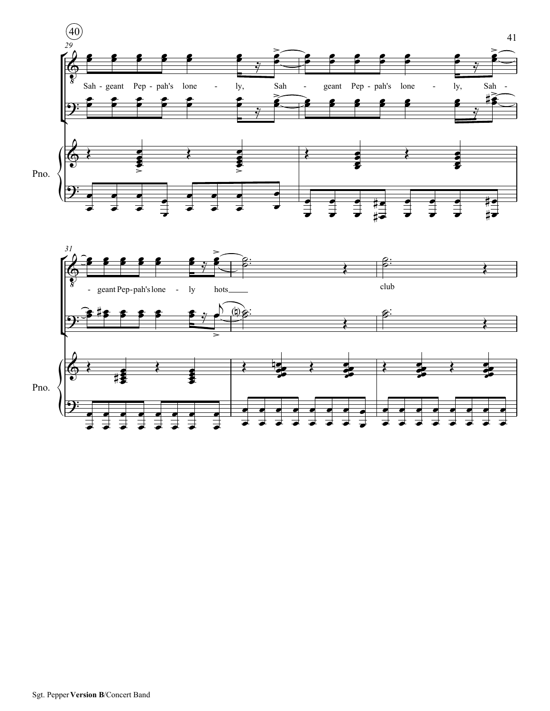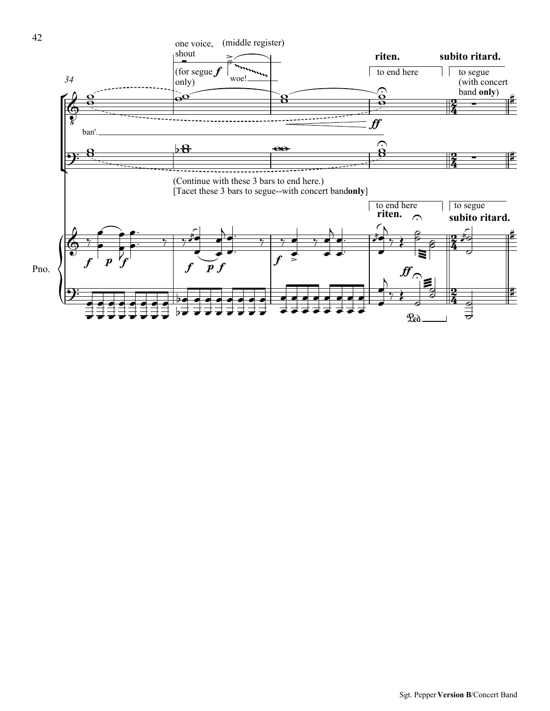![](_page_42_Figure_0.jpeg)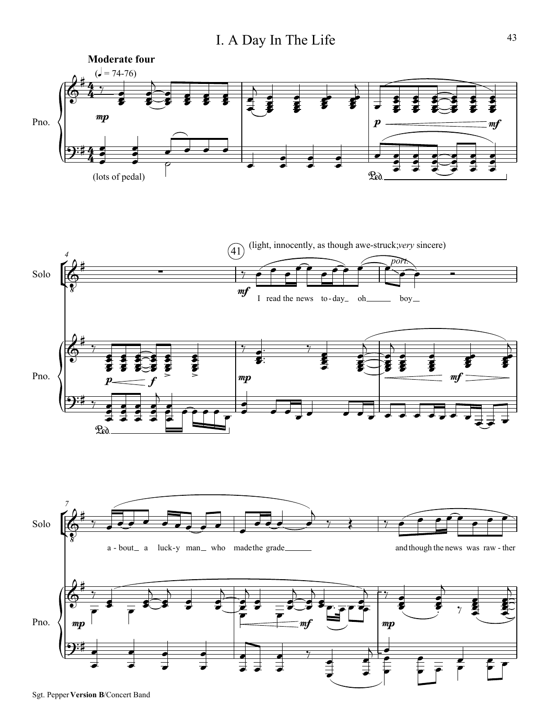![](_page_43_Figure_1.jpeg)

Sgt. Pepper **Version B**/Concert Band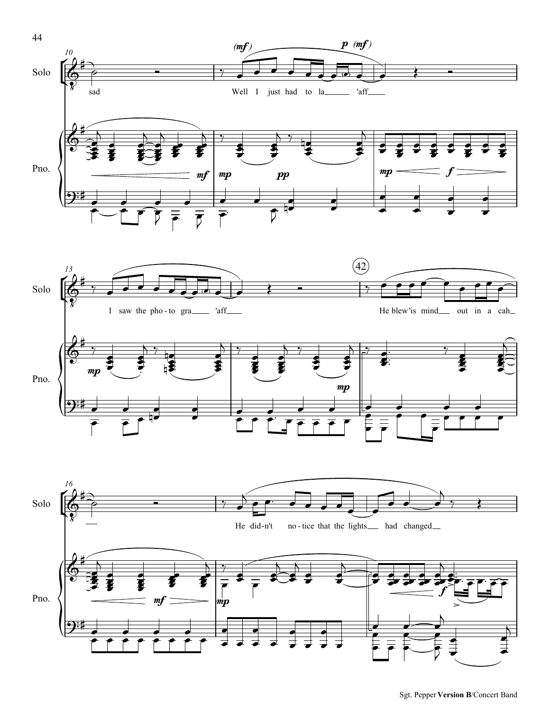![](_page_44_Figure_0.jpeg)

![](_page_44_Figure_1.jpeg)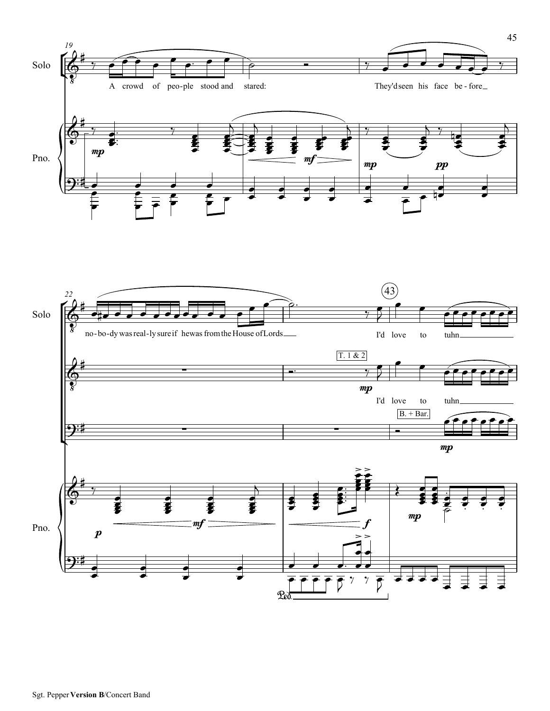![](_page_45_Figure_0.jpeg)

![](_page_45_Figure_1.jpeg)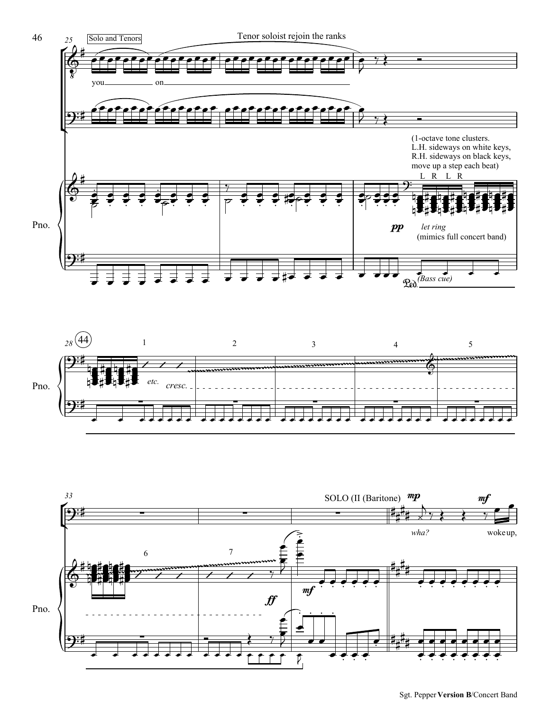![](_page_46_Figure_0.jpeg)

![](_page_46_Figure_1.jpeg)

![](_page_46_Figure_2.jpeg)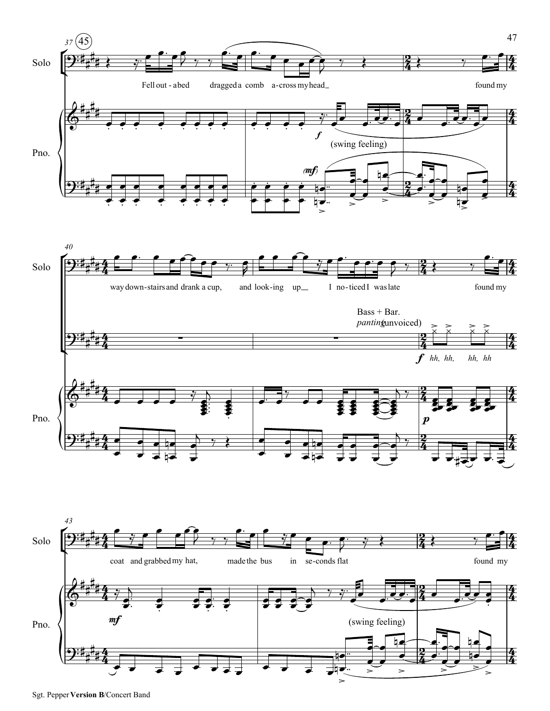![](_page_47_Figure_0.jpeg)

Sgt. Pepper **Version B**/Concert Band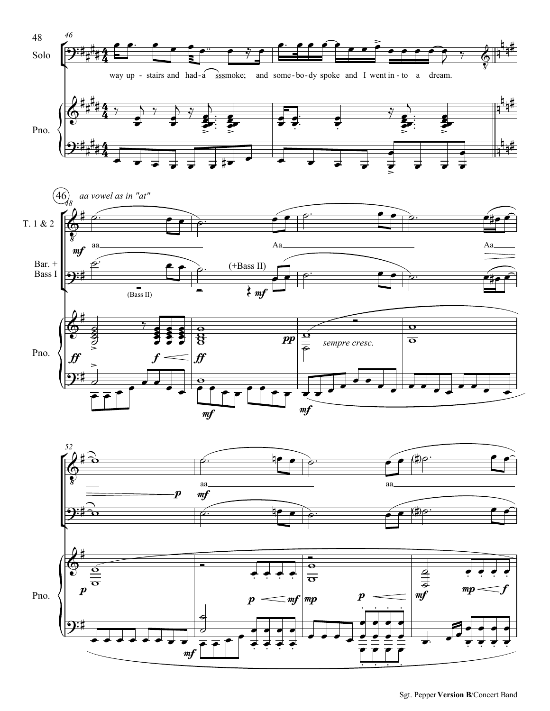![](_page_48_Figure_0.jpeg)

![](_page_48_Figure_1.jpeg)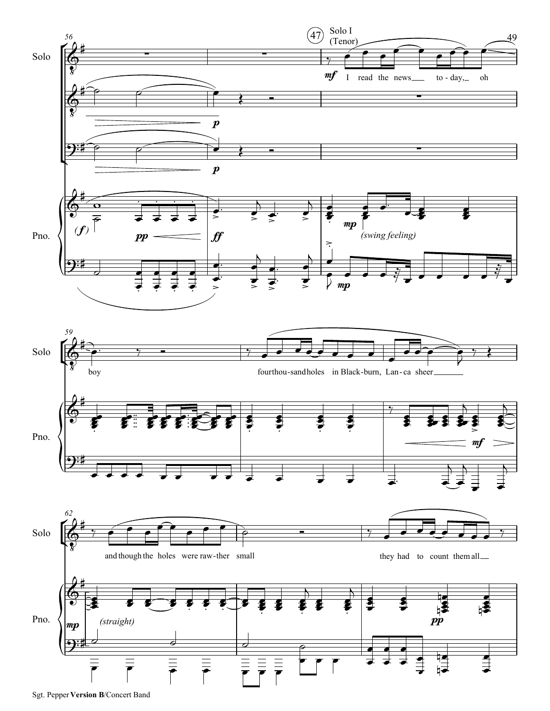![](_page_49_Figure_0.jpeg)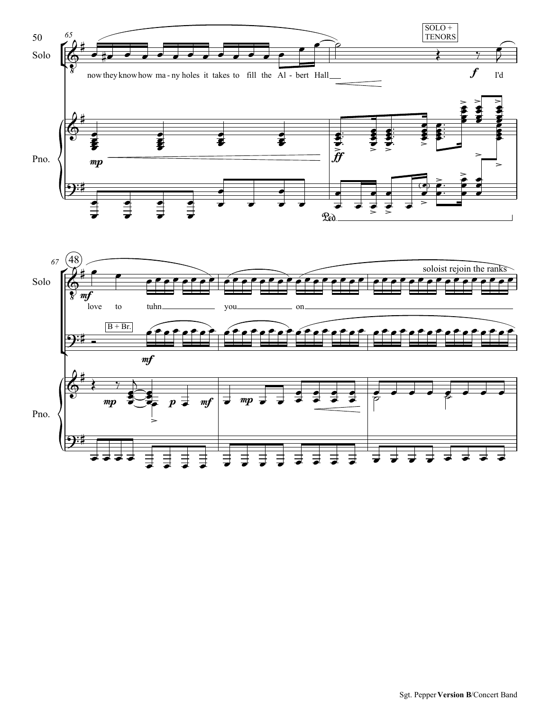![](_page_50_Figure_0.jpeg)

![](_page_50_Figure_1.jpeg)